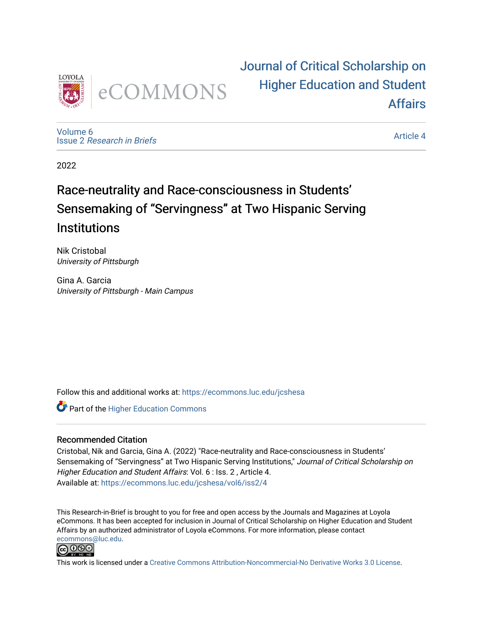

[Journal of Critical Scholarship on](https://ecommons.luc.edu/jcshesa)  [Higher Education and Student](https://ecommons.luc.edu/jcshesa)  [Affairs](https://ecommons.luc.edu/jcshesa) 

[Volume 6](https://ecommons.luc.edu/jcshesa/vol6) Issue 2 [Research in Briefs](https://ecommons.luc.edu/jcshesa/vol6/iss2)

[Article 4](https://ecommons.luc.edu/jcshesa/vol6/iss2/4) 

2022

### Race-neutrality and Race-consciousness in Students' Sensemaking of "Servingness" at Two Hispanic Serving **Institutions**

Nik Cristobal University of Pittsburgh

Gina A. Garcia University of Pittsburgh - Main Campus

Follow this and additional works at: [https://ecommons.luc.edu/jcshesa](https://ecommons.luc.edu/jcshesa?utm_source=ecommons.luc.edu%2Fjcshesa%2Fvol6%2Fiss2%2F4&utm_medium=PDF&utm_campaign=PDFCoverPages) 

**Part of the Higher Education Commons** 

### Recommended Citation

Cristobal, Nik and Garcia, Gina A. (2022) "Race-neutrality and Race-consciousness in Students' Sensemaking of "Servingness" at Two Hispanic Serving Institutions," Journal of Critical Scholarship on Higher Education and Student Affairs: Vol. 6 : Iss. 2, Article 4. Available at: [https://ecommons.luc.edu/jcshesa/vol6/iss2/4](https://ecommons.luc.edu/jcshesa/vol6/iss2/4?utm_source=ecommons.luc.edu%2Fjcshesa%2Fvol6%2Fiss2%2F4&utm_medium=PDF&utm_campaign=PDFCoverPages) 

This Research-in-Brief is brought to you for free and open access by the Journals and Magazines at Loyola eCommons. It has been accepted for inclusion in Journal of Critical Scholarship on Higher Education and Student Affairs by an authorized administrator of Loyola eCommons. For more information, please contact [ecommons@luc.edu](mailto:ecommons@luc.edu).



This work is licensed under a [Creative Commons Attribution-Noncommercial-No Derivative Works 3.0 License.](https://creativecommons.org/licenses/by-nc-nd/3.0/)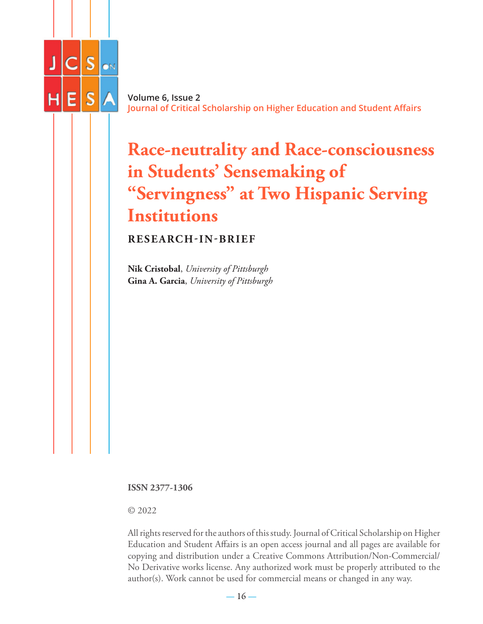

**Volume 6, Issue 2 Journal of Critical Scholarship on Higher Education and Student Affairs**

## **Race-neutrality and Race-consciousness in Students' Sensemaking of "Servingness" at Two Hispanic Serving Institutions**

**RESEARCH-IN-BRIEF**

**Nik Cristobal**, *University of Pittsburgh* **Gina A. Garcia**, *University of Pittsburgh*

**ISSN 2377-1306**

© 2022

All rights reserved for the authors of this study. Journal of Critical Scholarship on Higher Education and Student Affairs is an open access journal and all pages are available for copying and distribution under a Creative Commons Attribution/Non-Commercial/ No Derivative works license. Any authorized work must be properly attributed to the author(s). Work cannot be used for commercial means or changed in any way.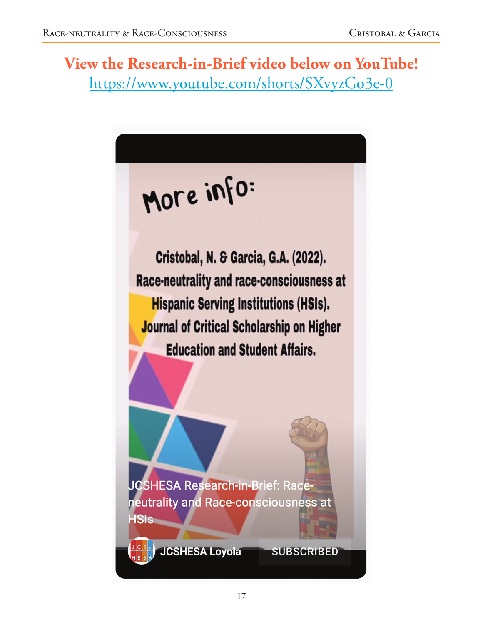View the Research-in-Brief video below on YouTube! https://www.youtube.com/shorts/SXvyzGo3e-0

# More info:

Cristobal, N. & Garcia, G.A. (2022). Race-neutrality and race-consciousness at **Hispanic Serving Institutions (HSIs). Journal of Critical Scholarship on Higher Education and Student Affairs.** 

**JCSHESA Research-in-Brief: Race**neutrality and Race-consciousness at **HSIs** 

**JCSHESA Loyola** 

**SUBSCRIBED**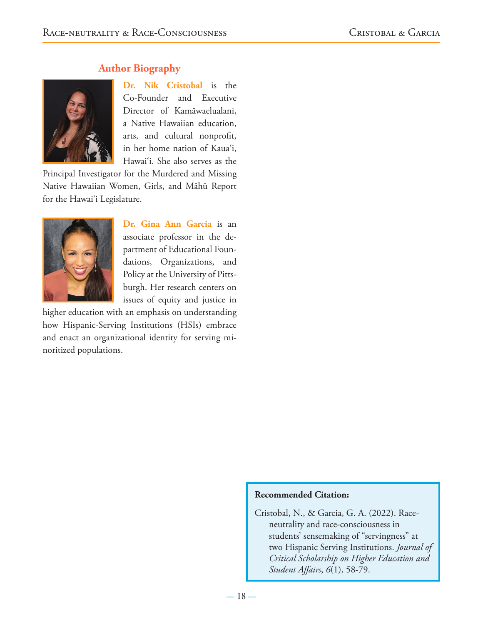### **Author Biography**



**Dr. Nik Cristobal** is the Co-Founder and Executive Director of Kamāwaelualani, a Native Hawaiian education, arts, and cultural nonprofit, in her home nation of Kaua'i, Hawai'i. She also serves as the

Principal Investigator for the Murdered and Missing Native Hawaiian Women, Girls, and Māhū Report for the Hawai'i Legislature.



**Dr. Gina Ann Garcia** is an associate professor in the department of Educational Foundations, Organizations, and Policy at the University of Pittsburgh. Her research centers on issues of equity and justice in

higher education with an emphasis on understanding how Hispanic-Serving Institutions (HSIs) embrace and enact an organizational identity for serving minoritized populations.

### **Recommended Citation:**

Cristobal, N., & Garcia, G. A. (2022). Raceneutrality and race-consciousness in students' sensemaking of "servingness" at two Hispanic Serving Institutions. *Journal of Critical Scholarship on Higher Education and Student Affairs*, *6*(1), 58-79.